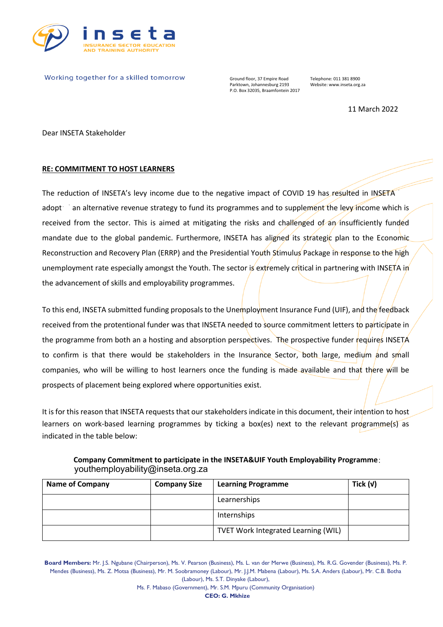

Working together for a skilled tomorrow

Ground floor, 37 Empire Road Telephone: 011 381 8900<br>Parktown, Johannesburg 2193 Website: www.inseta.org.za Parktown, Johannesburg 2193 P.O. Box 32035, Braamfontein 2017

11 March 2022

Dear INSETA Stakeholder

## **RE: COMMITMENT TO HOST LEARNERS**

The reduction of INSETA's levy income due to the negative impact of COVID 19 has resulted in INSETA adopt an alternative revenue strategy to fund its programmes and to supplement the levy income which is received from the sector. This is aimed at mitigating the risks and challenged of an insufficiently funded mandate due to the global pandemic. Furthermore, INSETA has aligned its strategic plan to the Economic Reconstruction and Recovery Plan (ERRP) and the Presidential Youth Stimulus Package in response to the high unemployment rate especially amongst the Youth. The sector is extremely critical in partnering with INSETA in the advancement of skills and employability programmes.

To this end, INSETA submitted funding proposals to the Unemployment Insurance Fund (UIF), and the feedback received from the protentional funder was that INSETA needed to source commitment letters to participate in the programme from both an a hosting and absorption perspectives. The prospective funder requires INSETA to confirm is that there would be stakeholders in the Insurance Sector, both large, medium and small companies, who will be willing to host learners once the funding is made available and that there will be prospects of placement being explored where opportunities exist.

It is for this reason that INSETA requests that our stakeholders indicate in this document, their intention to host learners on work-based learning programmes by ticking a box(es) next to the relevant programme(s) as indicated in the table below:

| Company Commitment to participate in the INSETA&UIF Youth Employability Programme: |  |
|------------------------------------------------------------------------------------|--|
| youthemployability@inseta.org.za                                                   |  |

| <b>Name of Company</b> | <b>Company Size</b> | <b>Learning Programme</b>                  | Tick $(v)$ |
|------------------------|---------------------|--------------------------------------------|------------|
|                        |                     | Learnerships                               |            |
|                        |                     | Internships                                |            |
|                        |                     | <b>TVET Work Integrated Learning (WIL)</b> |            |

**Board Members:** Mr. J.S. Ngubane (Chairperson), Ms. V. Pearson (Business), Ms. L. van der Merwe (Business), Ms. R.G. Govender (Business), Ms. P. Mendes (Business), Ms. Z. Motsa (Business), Mr. M. Soobramoney (Labour), Mr. J.J.M. Mabena (Labour), Ms. S.A. Anders (Labour), Mr. C.B. Botha (Labour), Ms. S.T. Dinyake (Labour),

> Ms. F. Mabaso (Government), Mr. S.M. Mpuru (Community Organisation) **CEO: G. Mkhize**